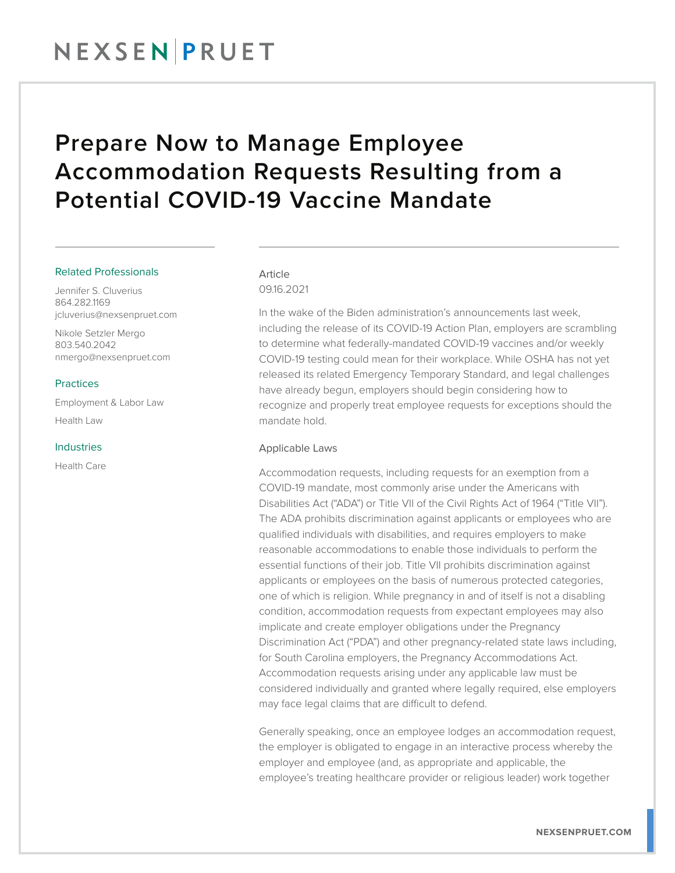### NEXSENPRUET

### Prepare Now to Manage Employee Accommodation Requests Resulting from a Potential COVID-19 Vaccine Mandate

#### Related Professionals

Jennifer S. Cluverius 864.282.1169 jcluverius@nexsenpruet.com

Nikole Setzler Mergo 803.540.2042 nmergo@nexsenpruet.com

#### Practices

Employment & Labor Law Health Law

#### Industries

Health Care

### Article

09.16.2021

In the wake of the Biden administration's announcements last week, including the release of its COVID-19 Action Plan, employers are scrambling to determine what federally-mandated COVID-19 vaccines and/or weekly COVID-19 testing could mean for their workplace. While OSHA has not yet released its related Emergency Temporary Standard, and legal challenges have already begun, employers should begin considering how to recognize and properly treat employee requests for exceptions should the mandate hold.

#### Applicable Laws

Accommodation requests, including requests for an exemption from a COVID-19 mandate, most commonly arise under the Americans with Disabilities Act ("ADA") or Title VII of the Civil Rights Act of 1964 ("Title VII"). The ADA prohibits discrimination against applicants or employees who are qualified individuals with disabilities, and requires employers to make reasonable accommodations to enable those individuals to perform the essential functions of their job. Title VII prohibits discrimination against applicants or employees on the basis of numerous protected categories, one of which is religion. While pregnancy in and of itself is not a disabling condition, accommodation requests from expectant employees may also implicate and create employer obligations under the Pregnancy Discrimination Act ("PDA") and other pregnancy-related state laws including, for South Carolina employers, the Pregnancy Accommodations Act. Accommodation requests arising under any applicable law must be considered individually and granted where legally required, else employers may face legal claims that are difficult to defend.

Generally speaking, once an employee lodges an accommodation request, the employer is obligated to engage in an interactive process whereby the employer and employee (and, as appropriate and applicable, the employee's treating healthcare provider or religious leader) work together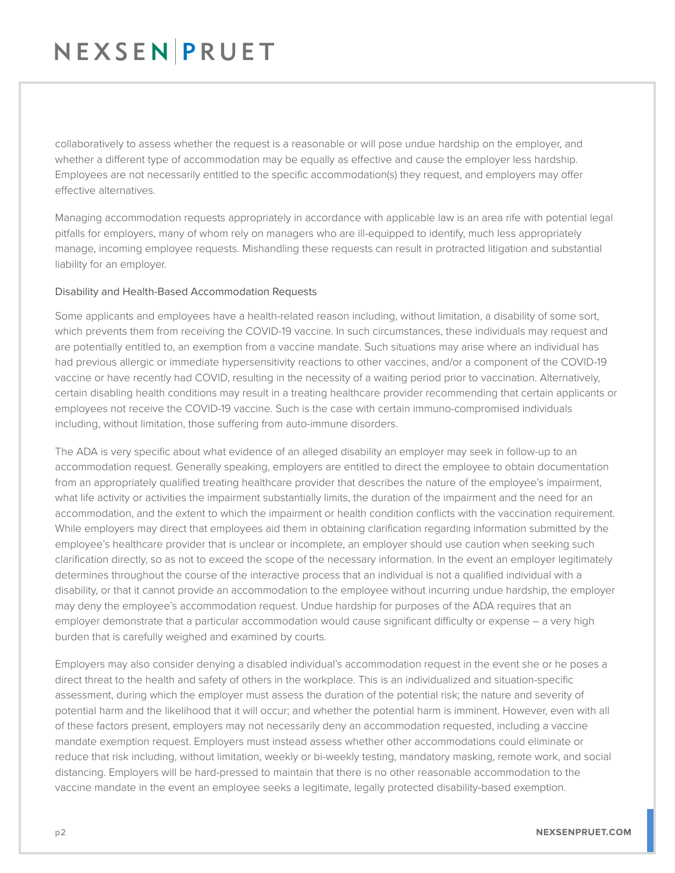# NEXSEN PRUET

collaboratively to assess whether the request is a reasonable or will pose undue hardship on the employer, and whether a different type of accommodation may be equally as effective and cause the employer less hardship. Employees are not necessarily entitled to the specific accommodation(s) they request, and employers may offer effective alternatives.

Managing accommodation requests appropriately in accordance with applicable law is an area rife with potential legal pitfalls for employers, many of whom rely on managers who are ill-equipped to identify, much less appropriately manage, incoming employee requests. Mishandling these requests can result in protracted litigation and substantial liability for an employer.

#### Disability and Health-Based Accommodation Requests

Some applicants and employees have a health-related reason including, without limitation, a disability of some sort, which prevents them from receiving the COVID-19 vaccine. In such circumstances, these individuals may request and are potentially entitled to, an exemption from a vaccine mandate. Such situations may arise where an individual has had previous allergic or immediate hypersensitivity reactions to other vaccines, and/or a component of the COVID-19 vaccine or have recently had COVID, resulting in the necessity of a waiting period prior to vaccination. Alternatively, certain disabling health conditions may result in a treating healthcare provider recommending that certain applicants or employees not receive the COVID-19 vaccine. Such is the case with certain immuno-compromised individuals including, without limitation, those suffering from auto-immune disorders.

The ADA is very specific about what evidence of an alleged disability an employer may seek in follow-up to an accommodation request. Generally speaking, employers are entitled to direct the employee to obtain documentation from an appropriately qualified treating healthcare provider that describes the nature of the employee's impairment, what life activity or activities the impairment substantially limits, the duration of the impairment and the need for an accommodation, and the extent to which the impairment or health condition conflicts with the vaccination requirement. While employers may direct that employees aid them in obtaining clarification regarding information submitted by the employee's healthcare provider that is unclear or incomplete, an employer should use caution when seeking such clarification directly, so as not to exceed the scope of the necessary information. In the event an employer legitimately determines throughout the course of the interactive process that an individual is not a qualified individual with a disability, or that it cannot provide an accommodation to the employee without incurring undue hardship, the employer may deny the employee's accommodation request. Undue hardship for purposes of the ADA requires that an employer demonstrate that a particular accommodation would cause significant difficulty or expense – a very high burden that is carefully weighed and examined by courts.

Employers may also consider denying a disabled individual's accommodation request in the event she or he poses a direct threat to the health and safety of others in the workplace. This is an individualized and situation-specific assessment, during which the employer must assess the duration of the potential risk; the nature and severity of potential harm and the likelihood that it will occur; and whether the potential harm is imminent. However, even with all of these factors present, employers may not necessarily deny an accommodation requested, including a vaccine mandate exemption request. Employers must instead assess whether other accommodations could eliminate or reduce that risk including, without limitation, weekly or bi-weekly testing, mandatory masking, remote work, and social distancing. Employers will be hard-pressed to maintain that there is no other reasonable accommodation to the vaccine mandate in the event an employee seeks a legitimate, legally protected disability-based exemption.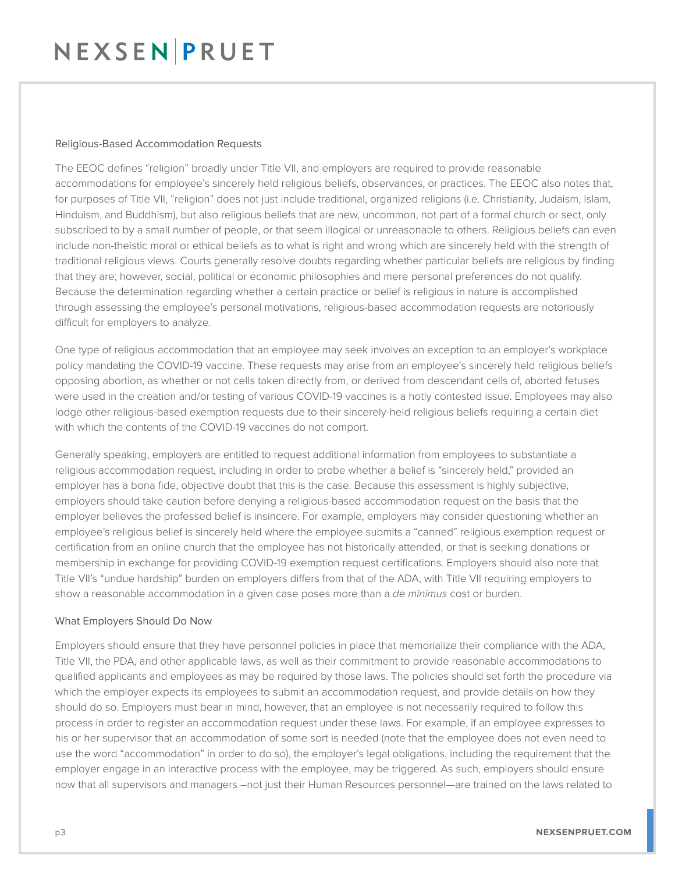## NEXSEN PRUET

#### Religious-Based Accommodation Requests

The EEOC defines "religion" broadly under Title VII, and employers are required to provide reasonable accommodations for employee's sincerely held religious beliefs, observances, or practices. The EEOC also notes that, for purposes of Title VII, "religion" does not just include traditional, organized religions (i.e. Christianity, Judaism, Islam, Hinduism, and Buddhism), but also religious beliefs that are new, uncommon, not part of a formal church or sect, only subscribed to by a small number of people, or that seem illogical or unreasonable to others. Religious beliefs can even include non-theistic moral or ethical beliefs as to what is right and wrong which are sincerely held with the strength of traditional religious views. Courts generally resolve doubts regarding whether particular beliefs are religious by finding that they are; however, social, political or economic philosophies and mere personal preferences do not qualify. Because the determination regarding whether a certain practice or belief is religious in nature is accomplished through assessing the employee's personal motivations, religious-based accommodation requests are notoriously difficult for employers to analyze.

One type of religious accommodation that an employee may seek involves an exception to an employer's workplace policy mandating the COVID-19 vaccine. These requests may arise from an employee's sincerely held religious beliefs opposing abortion, as whether or not cells taken directly from, or derived from descendant cells of, aborted fetuses were used in the creation and/or testing of various COVID-19 vaccines is a hotly contested issue. Employees may also lodge other religious-based exemption requests due to their sincerely-held religious beliefs requiring a certain diet with which the contents of the COVID-19 vaccines do not comport.

Generally speaking, employers are entitled to request additional information from employees to substantiate a religious accommodation request, including in order to probe whether a belief is "sincerely held," provided an employer has a bona fide, objective doubt that this is the case. Because this assessment is highly subjective, employers should take caution before denying a religious-based accommodation request on the basis that the employer believes the professed belief is insincere. For example, employers may consider questioning whether an employee's religious belief is sincerely held where the employee submits a "canned" religious exemption request or certification from an online church that the employee has not historically attended, or that is seeking donations or membership in exchange for providing COVID-19 exemption request certifications. Employers should also note that Title VII's "undue hardship" burden on employers differs from that of the ADA, with Title VII requiring employers to show a reasonable accommodation in a given case poses more than a *de minimus* cost or burden.

#### What Employers Should Do Now

Employers should ensure that they have personnel policies in place that memorialize their compliance with the ADA, Title VII, the PDA, and other applicable laws, as well as their commitment to provide reasonable accommodations to qualified applicants and employees as may be required by those laws. The policies should set forth the procedure via which the employer expects its employees to submit an accommodation request, and provide details on how they should do so. Employers must bear in mind, however, that an employee is not necessarily required to follow this process in order to register an accommodation request under these laws. For example, if an employee expresses to his or her supervisor that an accommodation of some sort is needed (note that the employee does not even need to use the word "accommodation" in order to do so), the employer's legal obligations, including the requirement that the employer engage in an interactive process with the employee, may be triggered. As such, employers should ensure now that all supervisors and managers –not just their Human Resources personnel—are trained on the laws related to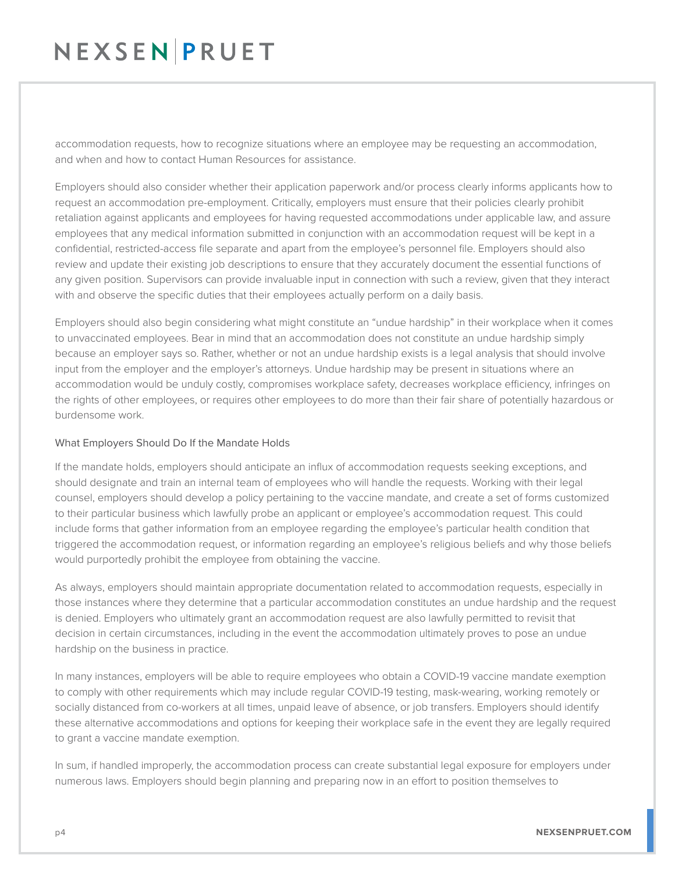# NEXSENPRUET

accommodation requests, how to recognize situations where an employee may be requesting an accommodation, and when and how to contact Human Resources for assistance.

Employers should also consider whether their application paperwork and/or process clearly informs applicants how to request an accommodation pre-employment. Critically, employers must ensure that their policies clearly prohibit retaliation against applicants and employees for having requested accommodations under applicable law, and assure employees that any medical information submitted in conjunction with an accommodation request will be kept in a confidential, restricted-access file separate and apart from the employee's personnel file. Employers should also review and update their existing job descriptions to ensure that they accurately document the essential functions of any given position. Supervisors can provide invaluable input in connection with such a review, given that they interact with and observe the specific duties that their employees actually perform on a daily basis.

Employers should also begin considering what might constitute an "undue hardship" in their workplace when it comes to unvaccinated employees. Bear in mind that an accommodation does not constitute an undue hardship simply because an employer says so. Rather, whether or not an undue hardship exists is a legal analysis that should involve input from the employer and the employer's attorneys. Undue hardship may be present in situations where an accommodation would be unduly costly, compromises workplace safety, decreases workplace efficiency, infringes on the rights of other employees, or requires other employees to do more than their fair share of potentially hazardous or burdensome work.

#### What Employers Should Do If the Mandate Holds

If the mandate holds, employers should anticipate an influx of accommodation requests seeking exceptions, and should designate and train an internal team of employees who will handle the requests. Working with their legal counsel, employers should develop a policy pertaining to the vaccine mandate, and create a set of forms customized to their particular business which lawfully probe an applicant or employee's accommodation request. This could include forms that gather information from an employee regarding the employee's particular health condition that triggered the accommodation request, or information regarding an employee's religious beliefs and why those beliefs would purportedly prohibit the employee from obtaining the vaccine.

As always, employers should maintain appropriate documentation related to accommodation requests, especially in those instances where they determine that a particular accommodation constitutes an undue hardship and the request is denied. Employers who ultimately grant an accommodation request are also lawfully permitted to revisit that decision in certain circumstances, including in the event the accommodation ultimately proves to pose an undue hardship on the business in practice.

In many instances, employers will be able to require employees who obtain a COVID-19 vaccine mandate exemption to comply with other requirements which may include regular COVID-19 testing, mask-wearing, working remotely or socially distanced from co-workers at all times, unpaid leave of absence, or job transfers. Employers should identify these alternative accommodations and options for keeping their workplace safe in the event they are legally required to grant a vaccine mandate exemption.

In sum, if handled improperly, the accommodation process can create substantial legal exposure for employers under numerous laws. Employers should begin planning and preparing now in an effort to position themselves to